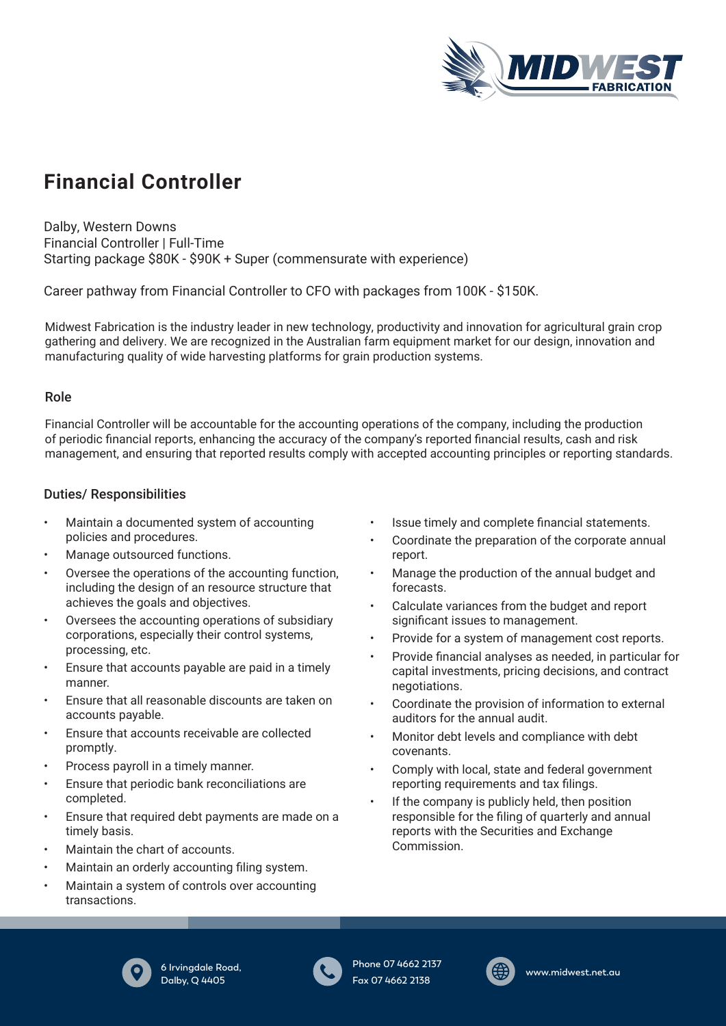

# **Financial Controller**

Dalby, Western Downs Financial Controller | Full-Time Starting package \$80K - \$90K + Super (commensurate with experience)

Career pathway from Financial Controller to CFO with packages from 100K - \$150K.

Midwest Fabrication is the industry leader in new technology, productivity and innovation for agricultural grain crop gathering and delivery. We are recognized in the Australian farm equipment market for our design, innovation and manufacturing quality of wide harvesting platforms for grain production systems.

#### Role

Financial Controller will be accountable for the accounting operations of the company, including the production of periodic financial reports, enhancing the accuracy of the company's reported financial results, cash and risk management, and ensuring that reported results comply with accepted accounting principles or reporting standards.

## Duties/ Responsibilities

- Maintain a documented system of accounting policies and procedures.
- Manage outsourced functions.
- Oversee the operations of the accounting function, including the design of an resource structure that achieves the goals and objectives.
- Oversees the accounting operations of subsidiary corporations, especially their control systems, processing, etc.
- Ensure that accounts payable are paid in a timely manner.
- Ensure that all reasonable discounts are taken on accounts payable.
- Ensure that accounts receivable are collected promptly.
- Process payroll in a timely manner.
- Ensure that periodic bank reconciliations are completed.
- Ensure that required debt payments are made on a timely basis.
- Maintain the chart of accounts.
- Maintain an orderly accounting filing system.
- Maintain a system of controls over accounting transactions.
- Issue timely and complete financial statements.
- Coordinate the preparation of the corporate annual report.
- Manage the production of the annual budget and forecasts.
- Calculate variances from the budget and report significant issues to management.
- Provide for a system of management cost reports.
- Provide financial analyses as needed, in particular for capital investments, pricing decisions, and contract negotiations.
- Coordinate the provision of information to external auditors for the annual audit.
- Monitor debt levels and compliance with debt covenants.
- Comply with local, state and federal government reporting requirements and tax filings.
- If the company is publicly held, then position responsible for the filing of quarterly and annual reports with the Securities and Exchange Commission.



**6 Irvingdale Road, Dalby, Q 4405** 



**Phone 07 4662 2137 Fax 07 4662 2138**



**www.midwest.net.au**